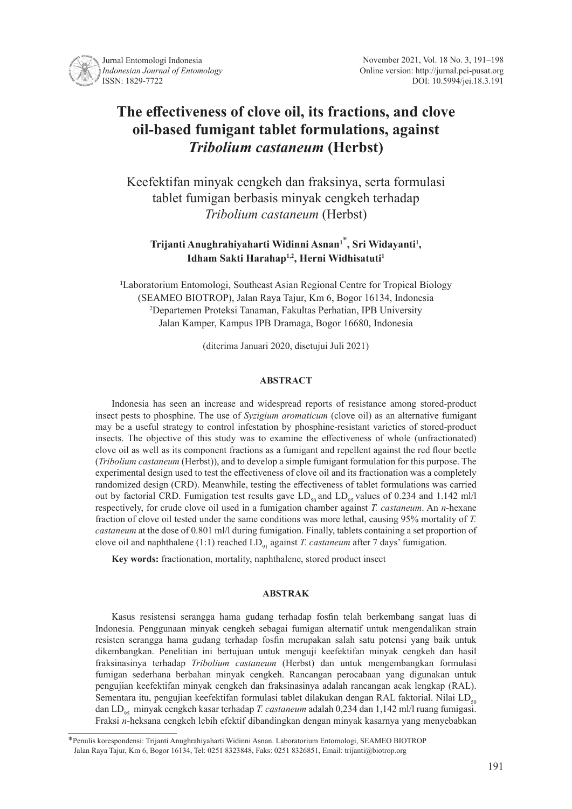

# **The effectiveness of clove oil, its fractions, and clove oil-based fumigant tablet formulations, against**  *Tribolium castaneum* **(Herbst)**

Keefektifan minyak cengkeh dan fraksinya, serta formulasi tablet fumigan berbasis minyak cengkeh terhadap *Tribolium castaneum* (Herbst)

# **Trijanti Anughrahiyaharti Widinni Asnan<sup>1</sup>**\* **, Sri Widayanti<sup>1</sup> , Idham Sakti Harahap1,2, Herni Widhisatuti<sup>1</sup>**

**1** Laboratorium Entomologi, Southeast Asian Regional Centre for Tropical Biology (SEAMEO BIOTROP), Jalan Raya Tajur, Km 6, Bogor 16134, Indonesia 2 Departemen Proteksi Tanaman, Fakultas Perhatian, IPB University Jalan Kamper, Kampus IPB Dramaga, Bogor 16680, Indonesia

(diterima Januari 2020, disetujui Juli 2021)

#### **ABSTRACT**

Indonesia has seen an increase and widespread reports of resistance among stored-product insect pests to phosphine. The use of *Syzigium aromaticum* (clove oil) as an alternative fumigant may be a useful strategy to control infestation by phosphine-resistant varieties of stored-product insects. The objective of this study was to examine the effectiveness of whole (unfractionated) clove oil as well as its component fractions as a fumigant and repellent against the red flour beetle (*Tribolium castaneum* (Herbst)), and to develop a simple fumigant formulation for this purpose. The experimental design used to test the effectiveness of clove oil and its fractionation was a completely randomized design (CRD). Meanwhile, testing the effectiveness of tablet formulations was carried out by factorial CRD. Fumigation test results gave  $LD_{50}$  and  $LD_{95}$  values of 0.234 and 1.142 ml/l respectively, for crude clove oil used in a fumigation chamber against *T. castaneum*. An *n*-hexane fraction of clove oil tested under the same conditions was more lethal, causing 95% mortality of *T. castaneum* at the dose of 0.801 ml/l during fumigation. Finally, tablets containing a set proportion of clove oil and naphthalene (1:1) reached LD<sub>91</sub> against *T. castaneum* after 7 days' fumigation.

**Key words:** fractionation, mortality, naphthalene, stored product insect

#### **ABSTRAK**

Kasus resistensi serangga hama gudang terhadap fosfin telah berkembang sangat luas di Indonesia. Penggunaan minyak cengkeh sebagai fumigan alternatif untuk mengendalikan strain resisten serangga hama gudang terhadap fosfin merupakan salah satu potensi yang baik untuk dikembangkan. Penelitian ini bertujuan untuk menguji keefektifan minyak cengkeh dan hasil fraksinasinya terhadap *Tribolium castaneum* (Herbst) dan untuk mengembangkan formulasi fumigan sederhana berbahan minyak cengkeh. Rancangan perocabaan yang digunakan untuk pengujian keefektifan minyak cengkeh dan fraksinasinya adalah rancangan acak lengkap (RAL). Sementara itu, pengujian keefektifan formulasi tablet dilakukan dengan RAL faktorial. Nilai LD<sub>50</sub> dan LD<sub>95</sub> minyak cengkeh kasar terhadap *T. castaneum* adalah 0,234 dan 1,142 ml/l ruang fumigasi. Fraksi *n*-heksana cengkeh lebih efektif dibandingkan dengan minyak kasarnya yang menyebabkan

<sup>\*</sup>Penulis korespondensi: Trijanti Anughrahiyaharti Widinni Asnan. Laboratorium Entomologi, SEAMEO BIOTROP Jalan Raya Tajur, Km 6, Bogor 16134, Tel: 0251 8323848, Faks: 0251 8326851, Email: trijanti@biotrop.org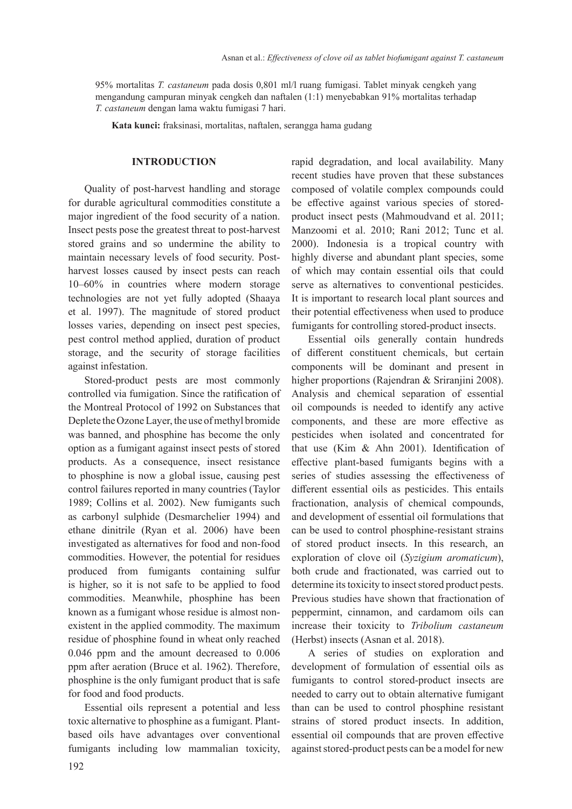95% mortalitas *T. castaneum* pada dosis 0,801 ml/l ruang fumigasi. Tablet minyak cengkeh yang mengandung campuran minyak cengkeh dan naftalen (1:1) menyebabkan 91% mortalitas terhadap *T. castaneum* dengan lama waktu fumigasi 7 hari.

**Kata kunci:** fraksinasi, mortalitas, naftalen, serangga hama gudang

#### **INTRODUCTION**

Quality of post-harvest handling and storage for durable agricultural commodities constitute a major ingredient of the food security of a nation. Insect pests pose the greatest threat to post-harvest stored grains and so undermine the ability to maintain necessary levels of food security. Postharvest losses caused by insect pests can reach 10–60% in countries where modern storage technologies are not yet fully adopted (Shaaya et al. 1997). The magnitude of stored product losses varies, depending on insect pest species, pest control method applied, duration of product storage, and the security of storage facilities against infestation.

Stored-product pests are most commonly controlled via fumigation. Since the ratification of the Montreal Protocol of 1992 on Substances that Deplete the Ozone Layer, the use of methyl bromide was banned, and phosphine has become the only option as a fumigant against insect pests of stored products. As a consequence, insect resistance to phosphine is now a global issue, causing pest control failures reported in many countries (Taylor 1989; Collins et al. 2002). New fumigants such as carbonyl sulphide (Desmarchelier 1994) and ethane dinitrile (Ryan et al. 2006) have been investigated as alternatives for food and non-food commodities. However, the potential for residues produced from fumigants containing sulfur is higher, so it is not safe to be applied to food commodities. Meanwhile, phosphine has been known as a fumigant whose residue is almost nonexistent in the applied commodity. The maximum residue of phosphine found in wheat only reached 0.046 ppm and the amount decreased to 0.006 ppm after aeration (Bruce et al. 1962). Therefore, phosphine is the only fumigant product that is safe for food and food products.

Essential oils represent a potential and less toxic alternative to phosphine as a fumigant. Plantbased oils have advantages over conventional fumigants including low mammalian toxicity, rapid degradation, and local availability. Many recent studies have proven that these substances composed of volatile complex compounds could be effective against various species of storedproduct insect pests (Mahmoudvand et al. 2011; Manzoomi et al. 2010; Rani 2012; Tunc et al. 2000). Indonesia is a tropical country with highly diverse and abundant plant species, some of which may contain essential oils that could serve as alternatives to conventional pesticides. It is important to research local plant sources and their potential effectiveness when used to produce fumigants for controlling stored-product insects.

Essential oils generally contain hundreds of different constituent chemicals, but certain components will be dominant and present in higher proportions (Rajendran & Sriranjini 2008). Analysis and chemical separation of essential oil compounds is needed to identify any active components, and these are more effective as pesticides when isolated and concentrated for that use (Kim & Ahn 2001). Identification of effective plant-based fumigants begins with a series of studies assessing the effectiveness of different essential oils as pesticides. This entails fractionation, analysis of chemical compounds, and development of essential oil formulations that can be used to control phosphine-resistant strains of stored product insects. In this research, an exploration of clove oil (*Syzigium aromaticum*), both crude and fractionated, was carried out to determine its toxicity to insect stored product pests. Previous studies have shown that fractionation of peppermint, cinnamon, and cardamom oils can increase their toxicity to *Tribolium castaneum* (Herbst) insects (Asnan et al. 2018).

A series of studies on exploration and development of formulation of essential oils as fumigants to control stored-product insects are needed to carry out to obtain alternative fumigant than can be used to control phosphine resistant strains of stored product insects. In addition, essential oil compounds that are proven effective against stored-product pests can be a model for new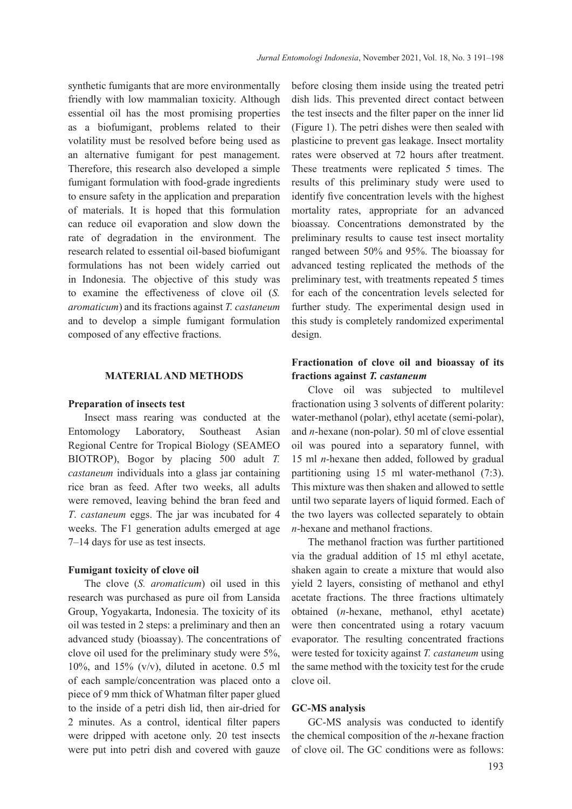synthetic fumigants that are more environmentally friendly with low mammalian toxicity. Although essential oil has the most promising properties as a biofumigant, problems related to their volatility must be resolved before being used as an alternative fumigant for pest management. Therefore, this research also developed a simple fumigant formulation with food-grade ingredients to ensure safety in the application and preparation of materials. It is hoped that this formulation can reduce oil evaporation and slow down the rate of degradation in the environment. The research related to essential oil-based biofumigant formulations has not been widely carried out in Indonesia. The objective of this study was to examine the effectiveness of clove oil (*S. aromaticum*) and its fractions against *T. castaneum* and to develop a simple fumigant formulation composed of any effective fractions.

## **MATERIAL AND METHODS**

#### **Preparation of insects test**

Insect mass rearing was conducted at the Entomology Laboratory, Southeast Asian Regional Centre for Tropical Biology (SEAMEO BIOTROP), Bogor by placing 500 adult *T. castaneum* individuals into a glass jar containing rice bran as feed. After two weeks, all adults were removed, leaving behind the bran feed and *T*. *castaneum* eggs. The jar was incubated for 4 weeks. The F1 generation adults emerged at age 7–14 days for use as test insects.

#### **Fumigant toxicity of clove oil**

The clove (*S. aromaticum*) oil used in this research was purchased as pure oil from Lansida Group, Yogyakarta, Indonesia. The toxicity of its oil was tested in 2 steps: a preliminary and then an advanced study (bioassay). The concentrations of clove oil used for the preliminary study were 5%, 10%, and 15% (v/v), diluted in acetone. 0.5 ml of each sample/concentration was placed onto a piece of 9 mm thick of Whatman filter paper glued to the inside of a petri dish lid, then air-dried for 2 minutes. As a control, identical filter papers were dripped with acetone only. 20 test insects were put into petri dish and covered with gauze

before closing them inside using the treated petri dish lids. This prevented direct contact between the test insects and the filter paper on the inner lid (Figure 1). The petri dishes were then sealed with plasticine to prevent gas leakage. Insect mortality rates were observed at 72 hours after treatment. These treatments were replicated 5 times. The results of this preliminary study were used to identify five concentration levels with the highest mortality rates, appropriate for an advanced bioassay. Concentrations demonstrated by the preliminary results to cause test insect mortality ranged between 50% and 95%. The bioassay for advanced testing replicated the methods of the preliminary test, with treatments repeated 5 times for each of the concentration levels selected for further study. The experimental design used in this study is completely randomized experimental design.

# **Fractionation of clove oil and bioassay of its fractions against** *T. castaneum*

Clove oil was subjected to multilevel fractionation using 3 solvents of different polarity: water-methanol (polar), ethyl acetate (semi-polar), and *n*-hexane (non-polar). 50 ml of clove essential oil was poured into a separatory funnel, with 15 ml *n*-hexane then added, followed by gradual partitioning using 15 ml water-methanol (7:3). This mixture was then shaken and allowed to settle until two separate layers of liquid formed. Each of the two layers was collected separately to obtain *n*-hexane and methanol fractions.

The methanol fraction was further partitioned via the gradual addition of 15 ml ethyl acetate, shaken again to create a mixture that would also yield 2 layers, consisting of methanol and ethyl acetate fractions. The three fractions ultimately obtained (*n*-hexane, methanol, ethyl acetate) were then concentrated using a rotary vacuum evaporator. The resulting concentrated fractions were tested for toxicity against *T. castaneum* using the same method with the toxicity test for the crude clove oil.

#### **GC-MS analysis**

GC-MS analysis was conducted to identify the chemical composition of the *n*-hexane fraction of clove oil. The GC conditions were as follows: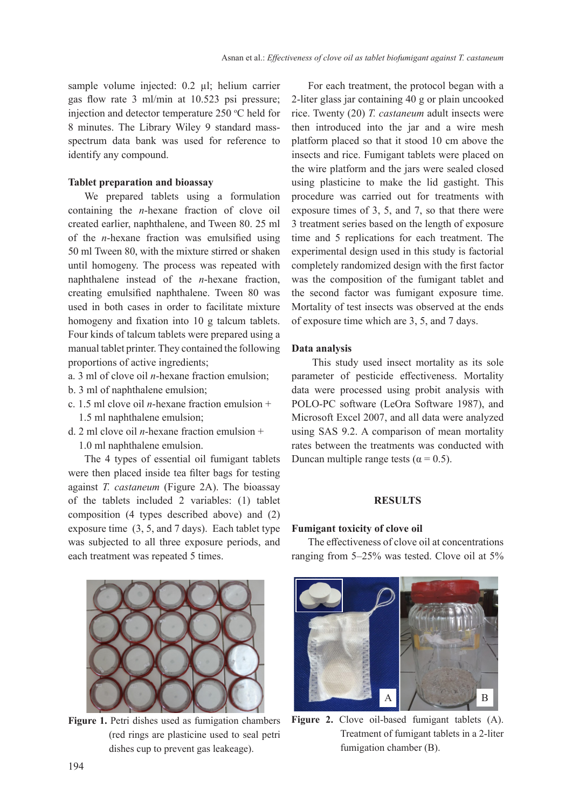sample volume injected: 0.2 µl; helium carrier gas flow rate 3 ml/min at 10.523 psi pressure; injection and detector temperature  $250$  °C held for 8 minutes. The Library Wiley 9 standard massspectrum data bank was used for reference to identify any compound.

#### **Tablet preparation and bioassay**

We prepared tablets using a formulation containing the *n*-hexane fraction of clove oil created earlier, naphthalene, and Tween 80. 25 ml of the *n*-hexane fraction was emulsified using 50 ml Tween 80, with the mixture stirred or shaken until homogeny. The process was repeated with naphthalene instead of the *n*-hexane fraction, creating emulsified naphthalene. Tween 80 was used in both cases in order to facilitate mixture homogeny and fixation into 10 g talcum tablets. Four kinds of talcum tablets were prepared using a manual tablet printer. They contained the following proportions of active ingredients;

- a. 3 ml of clove oil *n*-hexane fraction emulsion;
- b. 3 ml of naphthalene emulsion;
- c. 1.5 ml clove oil *n*-hexane fraction emulsion + 1.5 ml naphthalene emulsion;
- d. 2 ml clove oil *n*-hexane fraction emulsion + 1.0 ml naphthalene emulsion.

The 4 types of essential oil fumigant tablets were then placed inside tea filter bags for testing against *T. castaneum* (Figure 2A). The bioassay of the tablets included 2 variables: (1) tablet composition (4 types described above) and (2) exposure time (3, 5, and 7 days). Each tablet type was subjected to all three exposure periods, and each treatment was repeated 5 times.



Figure 1. Petri dishes used as fumigation chambers (red rings are plasticine used to seal petri dishes cup to prevent gas leakeage).

For each treatment, the protocol began with a 2-liter glass jar containing 40 g or plain uncooked rice. Twenty (20) *T. castaneum* adult insects were then introduced into the jar and a wire mesh platform placed so that it stood 10 cm above the insects and rice. Fumigant tablets were placed on the wire platform and the jars were sealed closed using plasticine to make the lid gastight. This procedure was carried out for treatments with exposure times of 3, 5, and 7, so that there were 3 treatment series based on the length of exposure time and 5 replications for each treatment. The experimental design used in this study is factorial completely randomized design with the first factor was the composition of the fumigant tablet and the second factor was fumigant exposure time. Mortality of test insects was observed at the ends of exposure time which are 3, 5, and 7 days.

#### **Data analysis**

 This study used insect mortality as its sole parameter of pesticide effectiveness. Mortality data were processed using probit analysis with POLO-PC software (LeOra Software 1987), and Microsoft Excel 2007, and all data were analyzed using SAS 9.2. A comparison of mean mortality rates between the treatments was conducted with Duncan multiple range tests ( $\alpha$  = 0.5).

#### **RESULTS**

#### **Fumigant toxicity of clove oil**

The effectiveness of clove oil at concentrations ranging from 5–25% was tested. Clove oil at 5%



**Figure 2.** Clove oil-based fumigant tablets (A). Treatment of fumigant tablets in a 2-liter fumigation chamber (B).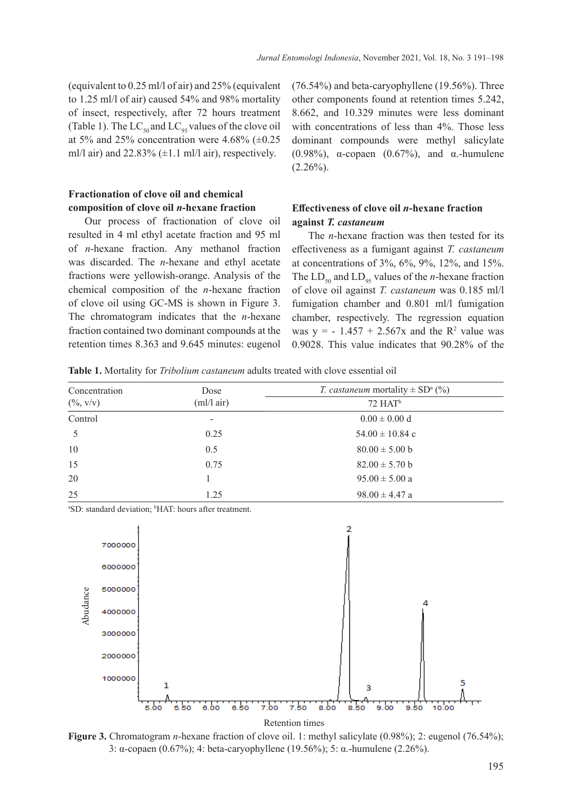(equivalent to 0.25 ml/l of air) and 25% (equivalent to 1.25 ml/l of air) caused 54% and 98% mortality of insect, respectively, after 72 hours treatment (Table 1). The  $LC_{50}$  and  $LC_{95}$  values of the clove oil at 5% and 25% concentration were 4.68%  $(\pm 0.25)$ ml/l air) and  $22.83\%$  ( $\pm$ 1.1 ml/l air), respectively.

# **Fractionation of clove oil and chemical composition of clove oil** *n***-hexane fraction**

Our process of fractionation of clove oil resulted in 4 ml ethyl acetate fraction and 95 ml of *n*-hexane fraction. Any methanol fraction was discarded. The *n*-hexane and ethyl acetate fractions were yellowish-orange. Analysis of the chemical composition of the *n*-hexane fraction of clove oil using GC-MS is shown in Figure 3. The chromatogram indicates that the *n*-hexane fraction contained two dominant compounds at the retention times 8.363 and 9.645 minutes: eugenol (76.54%) and beta-caryophyllene (19.56%). Three other components found at retention times 5.242, 8.662, and 10.329 minutes were less dominant with concentrations of less than 4%. Those less dominant compounds were methyl salicylate (0.98%),  $\alpha$ -copaen (0.67%), and  $\alpha$ -humulene  $(2.26\%)$ .

# **Effectiveness of clove oil** *n***-hexane fraction against** *T. castaneum*

The *n*-hexane fraction was then tested for its effectiveness as a fumigant against *T. castaneum*  at concentrations of 3%, 6%, 9%, 12%, and 15%. The  $LD_{50}$  and  $LD_{95}$  values of the *n*-hexane fraction of clove oil against *T. castaneum* was 0.185 ml/l fumigation chamber and 0.801 ml/l fumigation chamber, respectively. The regression equation was  $y = -1.457 + 2.567x$  and the  $R^2$  value was 0.9028. This value indicates that 90.28% of the

**Table 1.** Mortality for *Tribolium castaneum* adults treated with clove essential oil

| Concentration | Dose<br>m!/ air)         | <i>T. castaneum</i> mortality $\pm$ SD <sup>a</sup> (%) |  |
|---------------|--------------------------|---------------------------------------------------------|--|
| $(\% , v/v)$  |                          | $72$ HAT <sup>b</sup>                                   |  |
| Control       | $\overline{\phantom{a}}$ | $0.00 \pm 0.00$ d                                       |  |
|               | 0.25                     | $54.00 \pm 10.84$ c                                     |  |
| 10            | 0.5                      | $80.00 \pm 5.00$ b                                      |  |
| 15            | 0.75                     | $82.00 \pm 5.70$ b                                      |  |
| 20            |                          | $95.00 \pm 5.00$ a                                      |  |
| 25            | 1.25                     | $98.00 \pm 4.47$ a                                      |  |

<sup>a</sup>SD: standard deviation; <sup>b</sup>HAT: hours after treatment.



**Figure 3.** Chromatogram *n*-hexane fraction of clove oil. 1: methyl salicylate (0.98%); 2: eugenol (76.54%); 3: α-copaen (0.67%); 4: beta-caryophyllene (19.56%); 5: α.-humulene (2.26%).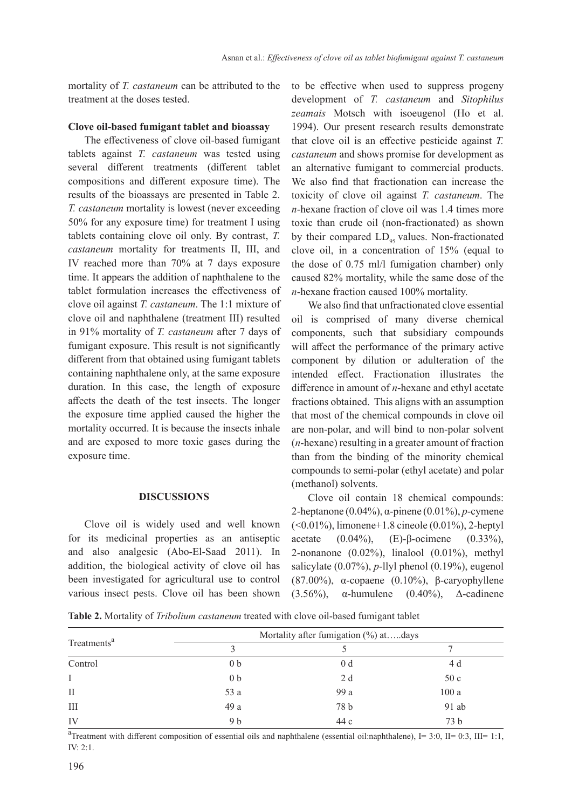mortality of *T. castaneum* can be attributed to the treatment at the doses tested.

#### **Clove oil-based fumigant tablet and bioassay**

The effectiveness of clove oil-based fumigant tablets against *T. castaneum* was tested using several different treatments (different tablet compositions and different exposure time). The results of the bioassays are presented in Table 2. *T. castaneum* mortality is lowest (never exceeding 50% for any exposure time) for treatment I using tablets containing clove oil only. By contrast, *T. castaneum* mortality for treatments II, III, and IV reached more than 70% at 7 days exposure time. It appears the addition of naphthalene to the tablet formulation increases the effectiveness of clove oil against *T. castaneum*. The 1:1 mixture of clove oil and naphthalene (treatment III) resulted in 91% mortality of *T. castaneum* after 7 days of fumigant exposure. This result is not significantly different from that obtained using fumigant tablets containing naphthalene only, at the same exposure duration. In this case, the length of exposure affects the death of the test insects. The longer the exposure time applied caused the higher the mortality occurred. It is because the insects inhale and are exposed to more toxic gases during the exposure time.

#### **DISCUSSIONS**

Clove oil is widely used and well known for its medicinal properties as an antiseptic and also analgesic (Abo-El-Saad 2011). In addition, the biological activity of clove oil has been investigated for agricultural use to control various insect pests. Clove oil has been shown to be effective when used to suppress progeny development of *T. castaneum* and *Sitophilus zeamais* Motsch with isoeugenol (Ho et al. 1994). Our present research results demonstrate that clove oil is an effective pesticide against *T. castaneum* and shows promise for development as an alternative fumigant to commercial products. We also find that fractionation can increase the toxicity of clove oil against *T. castaneum*. The *n*-hexane fraction of clove oil was 1.4 times more toxic than crude oil (non-fractionated) as shown by their compared  $LD_{95}$  values. Non-fractionated clove oil, in a concentration of 15% (equal to the dose of 0.75 ml/l fumigation chamber) only caused 82% mortality, while the same dose of the *n*-hexane fraction caused 100% mortality.

We also find that unfractionated clove essential oil is comprised of many diverse chemical components, such that subsidiary compounds will affect the performance of the primary active component by dilution or adulteration of the intended effect. Fractionation illustrates the difference in amount of *n*-hexane and ethyl acetate fractions obtained. This aligns with an assumption that most of the chemical compounds in clove oil are non-polar, and will bind to non-polar solvent (*n*-hexane) resulting in a greater amount of fraction than from the binding of the minority chemical compounds to semi-polar (ethyl acetate) and polar (methanol) solvents.

Clove oil contain 18 chemical compounds: 2-heptanone (0.04%), α-pinene (0.01%), *p*-cymene (<0.01%), limonene+1.8 cineole (0.01%), 2-heptyl acetate  $(0.04\%)$ , (E)-β-ocimene  $(0.33\%)$ , 2-nonanone  $(0.02\%)$ , linalool  $(0.01\%)$ , methyl salicylate (0.07%), *p*-llyl phenol (0.19%), eugenol (87.00%), α-copaene (0.10%), β-caryophyllene (3.56%),  $\alpha$ -humulene (0.40%),  $\Delta$ -cadinene

**Table 2.** Mortality of *Tribolium castaneum* treated with clove oil-based fumigant tablet

| Treatments <sup>a</sup> | Mortality after fumigation (%) atdays |                |                 |  |
|-------------------------|---------------------------------------|----------------|-----------------|--|
|                         |                                       |                |                 |  |
| Control                 | 0 <sub>b</sub>                        | 0 <sub>d</sub> | 4 d             |  |
|                         | 0 <sub>b</sub>                        | 2 d            | 50c             |  |
| $_{\rm II}$             | 53 a                                  | 99 a           | 100a            |  |
| III                     | 49 a                                  | 78 b           | 91 ab           |  |
| IV                      | 9 b                                   | 44 c           | 73 <sub>b</sub> |  |

<sup>a</sup>Treatment with different composition of essential oils and naphthalene (essential oil:naphthalene), I= 3:0, II= 0:3, III= 1:1, IV: 2:1.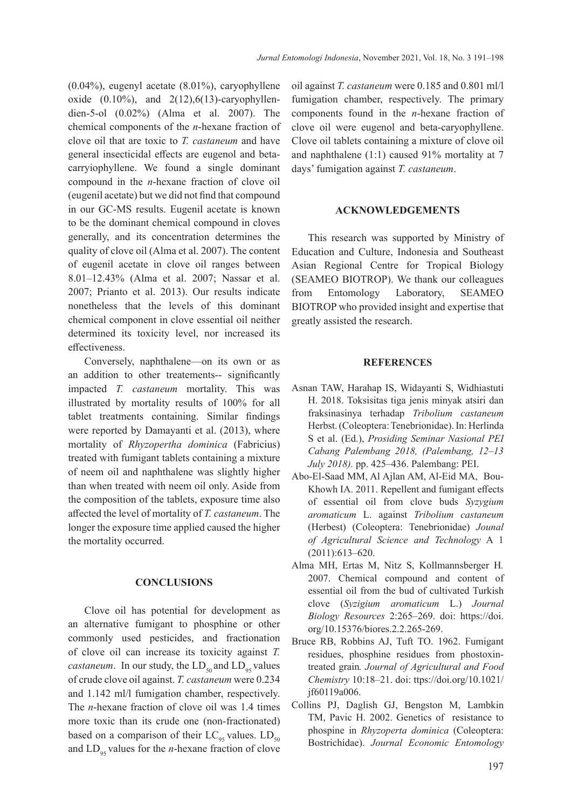(0.04%), eugenyl acetate (8.01%), caryophyllene oxide  $(0.10\%)$ , and  $2(12)$ , 6(13)-caryophyllendien-5-ol (0.02%) (Alma et al. 2007). The chemical components of the *n*-hexane fraction of clove oil that are toxic to *T. castaneum* and have general insecticidal effects are eugenol and betacarryiophyllene. We found a single dominant compound in the *n*-hexane fraction of clove oil (eugenil acetate) but we did not find that compound in our GC-MS results. Eugenil acetate is known to be the dominant chemical compound in cloves generally, and its concentration determines the quality of clove oil (Alma et al. 2007). The content of eugenil acetate in clove oil ranges between 8.01*–*12.43% (Alma et al. 2007; Nassar et al. 2007; Prianto et al. 2013). Our results indicate nonetheless that the levels of this dominant chemical component in clove essential oil neither determined its toxicity level, nor increased its effectiveness.

Conversely, naphthalene—on its own or as an addition to other treatements-- significantly impacted *T. castaneum* mortality. This was illustrated by mortality results of 100% for all tablet treatments containing. Similar findings were reported by Damayanti et al. (2013), where mortality of *Rhyzopertha dominica* (Fabricius) treated with fumigant tablets containing a mixture of neem oil and naphthalene was slightly higher than when treated with neem oil only. Aside from the composition of the tablets, exposure time also affected the level of mortality of *T. castaneum*. The longer the exposure time applied caused the higher the mortality occurred.

## **CONCLUSIONS**

Clove oil has potential for development as an alternative fumigant to phosphine or other commonly used pesticides, and fractionation of clove oil can increase its toxicity against *T. castaneum*. In our study, the  $LD_{50}$  and  $LD_{95}$  values of crude clove oil against. *T. castaneum* were 0.234 and 1.142 ml/l fumigation chamber, respectively. The *n*-hexane fraction of clove oil was 1.4 times more toxic than its crude one (non-fractionated) based on a comparison of their  $LC_{95}$  values.  $LD_{50}$ and  $LD_{.95}$  values for the *n*-hexane fraction of clove

oil against *T. castaneum* were 0.185 and 0.801 ml/l fumigation chamber, respectively. The primary components found in the *n*-hexane fraction of clove oil were eugenol and beta-caryophyllene. Clove oil tablets containing a mixture of clove oil and naphthalene (1:1) caused 91% mortality at 7 days' fumigation against *T. castaneum*.

#### **ACKNOWLEDGEMENTS**

This research was supported by Ministry of Education and Culture, Indonesia and Southeast Asian Regional Centre for Tropical Biology (SEAMEO BIOTROP). We thank our colleagues from Entomology Laboratory, SEAMEO BIOTROP who provided insight and expertise that greatly assisted the research.

#### **REFERENCES**

- Asnan TAW, Harahap IS, Widayanti S, Widhiastuti H. 2018. Toksisitas tiga jenis minyak atsiri dan fraksinasinya terhadap *Tribolium castaneum*  Herbst. (Coleoptera: Tenebrionidae). In: Herlinda S et al. (Ed.), *Prosiding Seminar Nasional PEI Cabang Palembang 2018, (Palembang, 12–13 July 2018).* pp. 425*–*436. Palembang: PEI.
- Abo-El-Saad MM, Al Ajlan AM, Al-Eid MA, Bou-Khowh IA. 2011. Repellent and fumigant effects of essential oil from clove buds *Syzygium aromaticum* L. against *Tribolium castaneum*  (Herbest) (Coleoptera: Tenebrionidae) *Jounal of Agricultural Science and Technology* A 1 (2011):613*–*620.
- Alma MH, Ertas M, Nitz S, Kollmannsberger H*.*  2007. Chemical compound and content of essential oil from the bud of cultivated Turkish clove (*Syzigium aromaticum* L.) *Journal Biology Resources* 2:265–269. doi: https://doi. org/10.15376/biores.2.2.265-269.
- Bruce RB, Robbins AJ, Tuft TO. 1962. Fumigant residues, phosphine residues from phostoxintreated grain*. Journal of Agricultural and Food Chemistry* 10:18–21. doi: ttps://doi.org/10.1021/ jf60119a006.
- Collins PJ, Daglish GJ, Bengston M, Lambkin TM, Pavic H. 2002. Genetics of resistance to phospine in *Rhyzoperta dominica* (Coleoptera: Bostrichidae). *Journal Economic Entomology*